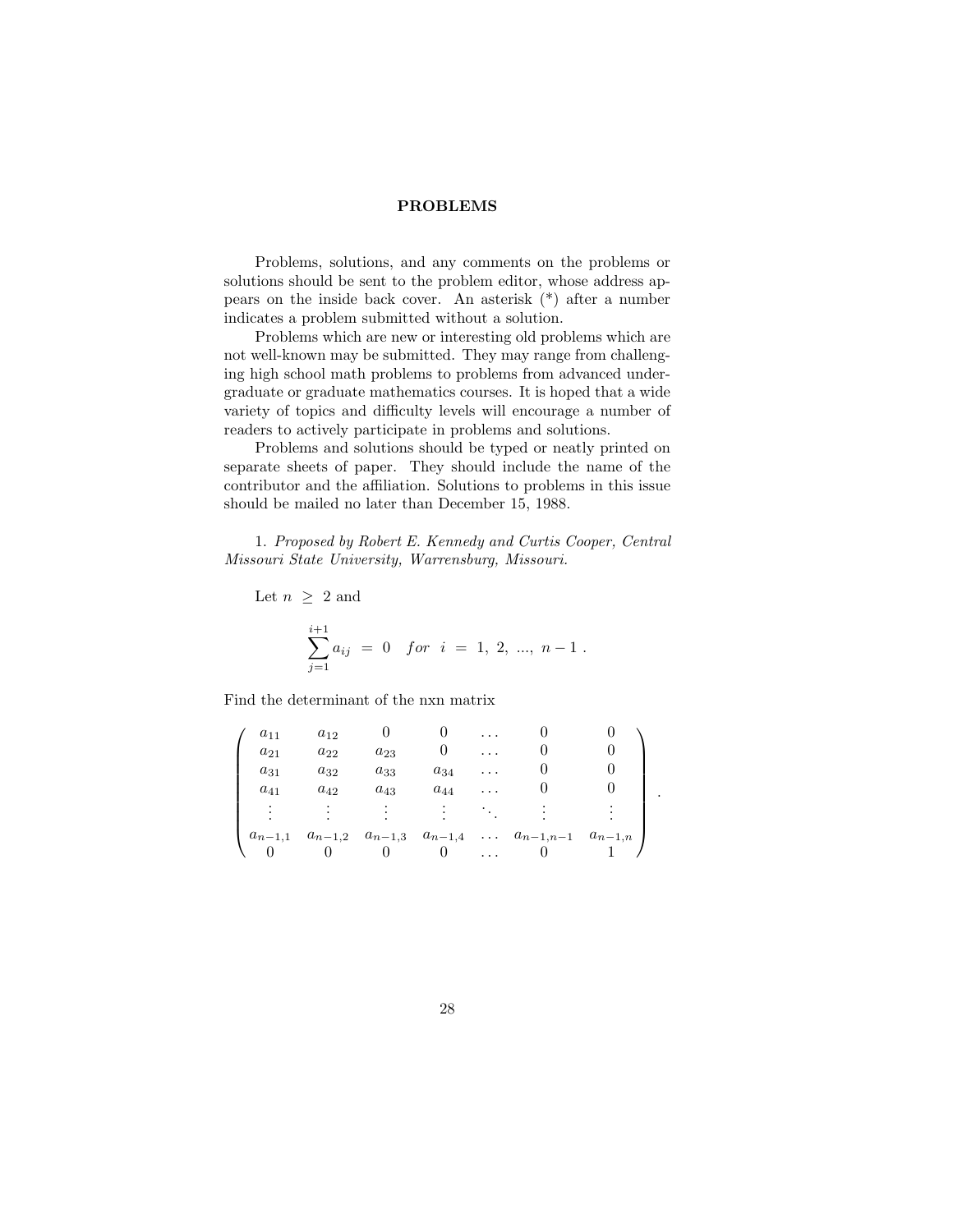## PROBLEMS

Problems, solutions, and any comments on the problems or solutions should be sent to the problem editor, whose address appears on the inside back cover. An asterisk (\*) after a number indicates a problem submitted without a solution.

Problems which are new or interesting old problems which are not well-known may be submitted. They may range from challenging high school math problems to problems from advanced undergraduate or graduate mathematics courses. It is hoped that a wide variety of topics and difficulty levels will encourage a number of readers to actively participate in problems and solutions.

Problems and solutions should be typed or neatly printed on separate sheets of paper. They should include the name of the contributor and the affiliation. Solutions to problems in this issue should be mailed no later than December 15, 1988.

1. Proposed by Robert E. Kennedy and Curtis Cooper, Central Missouri State University, Warrensburg, Missouri.

Let  $n \geq 2$  and  $\sum_{ }^{i+1}$  $j=1$  $a_{ij} = 0$  for  $i = 1, 2, ..., n-1$ .

Find the determinant of the nxn matrix

| $a_{11}$    | $a_{12}$ |          |          | $\cdots$ |                                                                        |  |
|-------------|----------|----------|----------|----------|------------------------------------------------------------------------|--|
| $a_{21}$    | $a_{22}$ | $a_{23}$ |          | .        |                                                                        |  |
| $a_{31}$    | $a_{32}$ | $a_{33}$ | $a_{34}$ | $\cdots$ |                                                                        |  |
| $a_{41}$    | $a_{42}$ | $a_{43}$ | $a_{44}$ | $\cdots$ |                                                                        |  |
|             |          |          |          |          |                                                                        |  |
| $a_{n-1,1}$ |          |          |          |          | $a_{n-1,2}$ $a_{n-1,3}$ $a_{n-1,4}$ $\ldots$ $a_{n-1,n-1}$ $a_{n-1,n}$ |  |
|             |          |          |          |          |                                                                        |  |

.